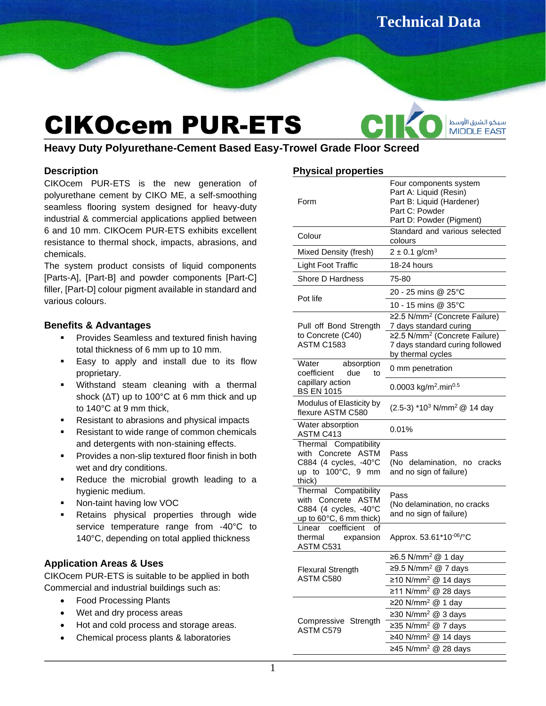**Technical Data** 

سيكو الشرق الأوسط **MIDDLE EAST** 

**Sheet**

# CIKOcem PUR-ETS

**Heavy Duty Polyurethane-Cement Based Easy-Trowel Grade Floor Screed**

## **Description**

CIKOcem PUR-ETS is the new generation of polyurethane cement by CIKO ME, a self-smoothing seamless flooring system designed for heavy-duty industrial & commercial applications applied between 6 and 10 mm. CIKOcem PUR-ETS exhibits excellent resistance to thermal shock, impacts, abrasions, and chemicals.

The system product consists of liquid components [Parts-A], [Part-B] and powder components [Part-C] filler, [Part-D] colour pigment available in standard and various colours.

## **Benefits & Advantages**

- Provides Seamless and textured finish having total thickness of 6 mm up to 10 mm.
- Easy to apply and install due to its flow proprietary.
- Withstand steam cleaning with a thermal shock (ΔT) up to 100°C at 6 mm thick and up to 140°C at 9 mm thick,
- Resistant to abrasions and physical impacts
- Resistant to wide range of common chemicals and detergents with non-staining effects.
- **•** Provides a non-slip textured floor finish in both wet and dry conditions.
- Reduce the microbial growth leading to a hygienic medium.
- Non-taint having low VOC
- Retains physical properties through wide service temperature range from -40°C to 140°C, depending on total applied thickness

## **Application Areas & Uses**

CIKOcem PUR-ETS is suitable to be applied in both Commercial and industrial buildings such as:

- Food Processing Plants
- Wet and dry process areas
- Hot and cold process and storage areas.
- Chemical process plants & laboratories

## **Physical properties**

| Form                                                                                                          | Four components system<br>Part A: Liquid (Resin)<br>Part B: Liquid (Hardener)<br>Part C: Powder<br>Part D: Powder (Pigment) |
|---------------------------------------------------------------------------------------------------------------|-----------------------------------------------------------------------------------------------------------------------------|
| Colour                                                                                                        | Standard and various selected<br>colours                                                                                    |
| Mixed Density (fresh)                                                                                         | $2 \pm 0.1$ g/cm <sup>3</sup>                                                                                               |
| <b>Light Foot Traffic</b>                                                                                     | 18-24 hours                                                                                                                 |
| Shore D Hardness                                                                                              | 75-80                                                                                                                       |
| Pot life                                                                                                      | 20 - 25 mins @ 25°C                                                                                                         |
|                                                                                                               | 10 - 15 mins @ 35°C                                                                                                         |
| Pull off Bond Strength<br>to Concrete (C40)<br><b>ASTM C1583</b>                                              | ≥2.5 N/mm <sup>2</sup> (Concrete Failure)<br>7 days standard curing                                                         |
|                                                                                                               | ≥2.5 N/mm <sup>2</sup> (Concrete Failure)<br>7 days standard curing followed<br>by thermal cycles                           |
| Water<br>absorption<br>coefficient<br>due<br>to                                                               | 0 mm penetration                                                                                                            |
| capillary action<br><b>BS EN 1015</b>                                                                         | 0.0003 kg/m <sup>2</sup> .min <sup>0.5</sup>                                                                                |
| Modulus of Elasticity by<br>flexure ASTM C580                                                                 | (2.5-3) *10 <sup>3</sup> N/mm <sup>2</sup> @ 14 day                                                                         |
| Water absorption<br>ASTM C413                                                                                 | 0.01%                                                                                                                       |
| Thermal Compatibility<br>with Concrete ASTM<br>C884 (4 cycles, -40°C<br>up to $100^{\circ}$ C, 9 mm<br>thick) | Pass<br>(No delamination, no cracks<br>and no sign of failure)                                                              |
| Thermal Compatibility<br>with Concrete ASTM<br>C884 (4 cycles, -40°C<br>up to 60°C, 6 mm thick)               | Pass<br>(No delamination, no cracks<br>and no sign of failure)                                                              |
| Linear coefficient<br>οf<br>thermal<br>expansion<br>ASTM C531                                                 | Approx. 53.61*10-06/°C                                                                                                      |
| <b>Flexural Strength</b><br>ASTM C580<br>Compressive Strength<br>ASTM C579                                    | ≥6.5 N/mm <sup>2</sup> @ 1 day                                                                                              |
|                                                                                                               | ≥9.5 N/mm <sup>2</sup> @ 7 days                                                                                             |
|                                                                                                               | $\sqrt{\geq 10 \text{ N/mm}^2}$ @ 14 days                                                                                   |
|                                                                                                               | ≥11 N/mm <sup>2</sup> @ 28 days                                                                                             |
|                                                                                                               | ≥20 N/mm <sup>2</sup> @ 1 day<br>≥30 N/mm <sup>2</sup> @ 3 days                                                             |
|                                                                                                               | ≥35 N/mm <sup>2</sup> @ 7 days                                                                                              |
|                                                                                                               | ≥40 N/mm <sup>2</sup> @ 14 days                                                                                             |
|                                                                                                               | ≥45 N/mm <sup>2</sup> @ 28 days                                                                                             |
|                                                                                                               |                                                                                                                             |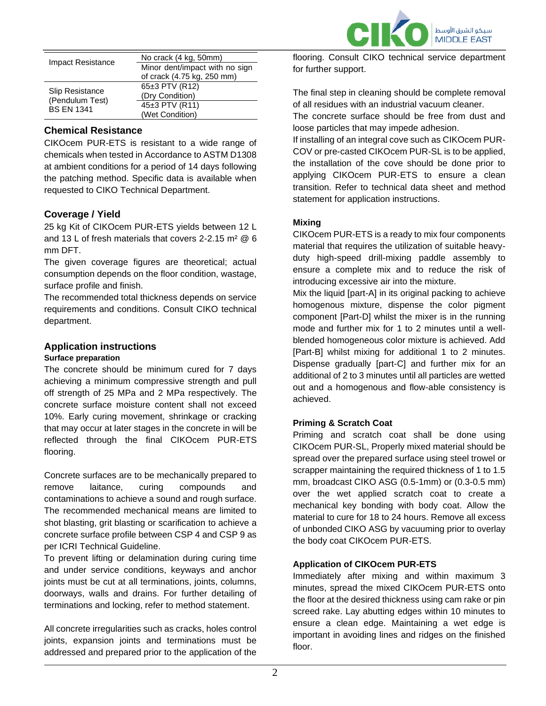

| <b>Impact Resistance</b>                                       | No crack (4 kg, 50mm)          |
|----------------------------------------------------------------|--------------------------------|
|                                                                | Minor dent/impact with no sign |
|                                                                | of crack (4.75 kg, 250 mm)     |
| <b>Slip Resistance</b><br>(Pendulum Test)<br><b>BS EN 1341</b> | 65±3 PTV (R12)                 |
|                                                                | (Dry Condition)                |
|                                                                | $45±3$ PTV (R11)               |
|                                                                | (Wet Condition)                |

## **Chemical Resistance**

CIKOcem PUR-ETS is resistant to a wide range of chemicals when tested in Accordance to ASTM D1308 at ambient conditions for a period of 14 days following the patching method. Specific data is available when requested to CIKO Technical Department.

## **Coverage / Yield**

25 kg Kit of CIKOcem PUR-ETS yields between 12 L and 13 L of fresh materials that covers  $2-2$  15 m<sup>2</sup>  $@$  6 mm DFT.

The given coverage figures are theoretical; actual consumption depends on the floor condition, wastage, surface profile and finish.

The recommended total thickness depends on service requirements and conditions. Consult CIKO technical department.

## **Application instructions**

#### **Surface preparation**

The concrete should be minimum cured for 7 days achieving a minimum compressive strength and pull off strength of 25 MPa and 2 MPa respectively. The concrete surface moisture content shall not exceed 10%. Early curing movement, shrinkage or cracking that may occur at later stages in the concrete in will be reflected through the final CIKOcem PUR-ETS flooring.

Concrete surfaces are to be mechanically prepared to remove laitance, curing compounds and contaminations to achieve a sound and rough surface. The recommended mechanical means are limited to shot blasting, grit blasting or scarification to achieve a concrete surface profile between CSP 4 and CSP 9 as per ICRI Technical Guideline.

To prevent lifting or delamination during curing time and under service conditions, keyways and anchor joints must be cut at all terminations, joints, columns, doorways, walls and drains. For further detailing of terminations and locking, refer to method statement.

All concrete irregularities such as cracks, holes control joints, expansion joints and terminations must be addressed and prepared prior to the application of the

flooring. Consult CIKO technical service department for further support.

The final step in cleaning should be complete removal of all residues with an industrial vacuum cleaner.

The concrete surface should be free from dust and loose particles that may impede adhesion.

If installing of an integral cove such as CIKOcem PUR-COV or pre-casted CIKOcem PUR-SL is to be applied, the installation of the cove should be done prior to applying CIKOcem PUR-ETS to ensure a clean transition. Refer to technical data sheet and method statement for application instructions.

#### **Mixing**

CIKOcem PUR-ETS is a ready to mix four components material that requires the utilization of suitable heavyduty high-speed drill-mixing paddle assembly to ensure a complete mix and to reduce the risk of introducing excessive air into the mixture.

Mix the liquid [part-A] in its original packing to achieve homogenous mixture, dispense the color pigment component [Part-D] whilst the mixer is in the running mode and further mix for 1 to 2 minutes until a wellblended homogeneous color mixture is achieved. Add [Part-B] whilst mixing for additional 1 to 2 minutes. Dispense gradually [part-C] and further mix for an additional of 2 to 3 minutes until all particles are wetted out and a homogenous and flow-able consistency is achieved.

#### **Priming & Scratch Coat**

Priming and scratch coat shall be done using CIKOcem PUR-SL, Properly mixed material should be spread over the prepared surface using steel trowel or scrapper maintaining the required thickness of 1 to 1.5 mm, broadcast CIKO ASG (0.5-1mm) or (0.3-0.5 mm) over the wet applied scratch coat to create a mechanical key bonding with body coat. Allow the material to cure for 18 to 24 hours. Remove all excess of unbonded CIKO ASG by vacuuming prior to overlay the body coat CIKOcem PUR-ETS.

#### **Application of CIKOcem PUR-ETS**

Immediately after mixing and within maximum 3 minutes, spread the mixed CIKOcem PUR-ETS onto the floor at the desired thickness using cam rake or pin screed rake. Lay abutting edges within 10 minutes to ensure a clean edge. Maintaining a wet edge is important in avoiding lines and ridges on the finished floor.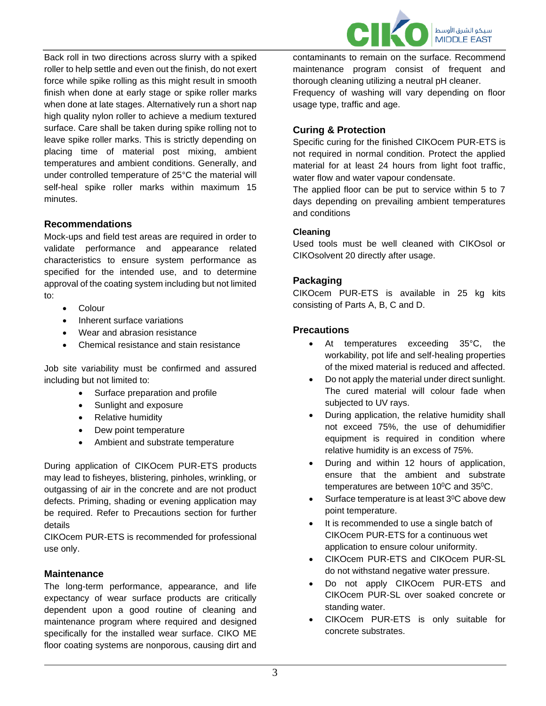سيكو الشرق الأوسط **MIDDLE EAST** 

Back roll in two directions across slurry with a spiked roller to help settle and even out the finish, do not exert force while spike rolling as this might result in smooth finish when done at early stage or spike roller marks when done at late stages. Alternatively run a short nap high quality nylon roller to achieve a medium textured surface. Care shall be taken during spike rolling not to leave spike roller marks. This is strictly depending on placing time of material post mixing, ambient temperatures and ambient conditions. Generally, and under controlled temperature of 25°C the material will self-heal spike roller marks within maximum 15 minutes.

## **Recommendations**

Mock-ups and field test areas are required in order to validate performance and appearance related characteristics to ensure system performance as specified for the intended use, and to determine approval of the coating system including but not limited to:

- Colour
- Inherent surface variations
- Wear and abrasion resistance
- Chemical resistance and stain resistance

Job site variability must be confirmed and assured including but not limited to:

- Surface preparation and profile
- Sunlight and exposure
- Relative humidity
- Dew point temperature
- Ambient and substrate temperature

During application of CIKOcem PUR-ETS products may lead to fisheyes, blistering, pinholes, wrinkling, or outgassing of air in the concrete and are not product defects. Priming, shading or evening application may be required. Refer to Precautions section for further details

CIKOcem PUR-ETS is recommended for professional use only.

## **Maintenance**

The long-term performance, appearance, and life expectancy of wear surface products are critically dependent upon a good routine of cleaning and maintenance program where required and designed specifically for the installed wear surface. CIKO ME floor coating systems are nonporous, causing dirt and contaminants to remain on the surface. Recommend maintenance program consist of frequent and thorough cleaning utilizing a neutral pH cleaner.

Frequency of washing will vary depending on floor usage type, traffic and age.

## **Curing & Protection**

Specific curing for the finished CIKOcem PUR-ETS is not required in normal condition. Protect the applied material for at least 24 hours from light foot traffic, water flow and water vapour condensate.

The applied floor can be put to service within 5 to 7 days depending on prevailing ambient temperatures and conditions

## **Cleaning**

Used tools must be well cleaned with CIKOsol or CIKOsolvent 20 directly after usage.

## **Packaging**

CIKOcem PUR-ETS is available in 25 kg kits consisting of Parts A, B, C and D.

## **Precautions**

- At temperatures exceeding 35°C, the workability, pot life and self-healing properties of the mixed material is reduced and affected.
- Do not apply the material under direct sunlight. The cured material will colour fade when subjected to UV rays.
- During application, the relative humidity shall not exceed 75%, the use of dehumidifier equipment is required in condition where relative humidity is an excess of 75%.
- During and within 12 hours of application, ensure that the ambient and substrate temperatures are between 10°C and 35°C.
- Surface temperature is at least 3<sup>0</sup>C above dew point temperature.
- It is recommended to use a single batch of CIKOcem PUR-ETS for a continuous wet application to ensure colour uniformity.
- CIKOcem PUR-ETS and CIKOcem PUR-SL do not withstand negative water pressure.
- Do not apply CIKOcem PUR-ETS and CIKOcem PUR-SL over soaked concrete or standing water.
- CIKOcem PUR-ETS is only suitable for concrete substrates.